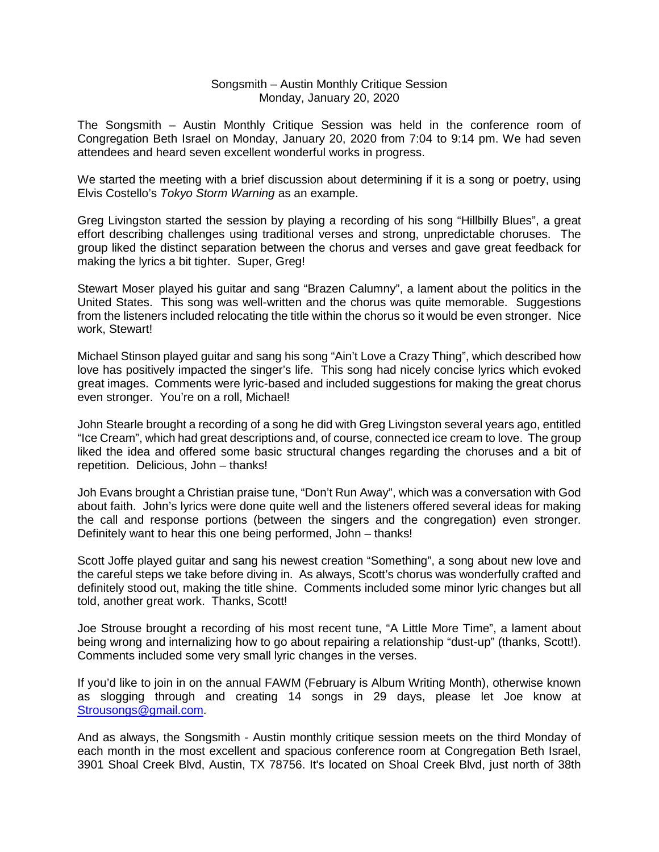## Songsmith – Austin Monthly Critique Session Monday, January 20, 2020

The Songsmith – Austin Monthly Critique Session was held in the conference room of Congregation Beth Israel on Monday, January 20, 2020 from 7:04 to 9:14 pm. We had seven attendees and heard seven excellent wonderful works in progress.

We started the meeting with a brief discussion about determining if it is a song or poetry, using Elvis Costello's *Tokyo Storm Warning* as an example.

Greg Livingston started the session by playing a recording of his song "Hillbilly Blues", a great effort describing challenges using traditional verses and strong, unpredictable choruses. The group liked the distinct separation between the chorus and verses and gave great feedback for making the lyrics a bit tighter. Super, Greg!

Stewart Moser played his guitar and sang "Brazen Calumny", a lament about the politics in the United States. This song was well-written and the chorus was quite memorable. Suggestions from the listeners included relocating the title within the chorus so it would be even stronger. Nice work, Stewart!

Michael Stinson played guitar and sang his song "Ain't Love a Crazy Thing", which described how love has positively impacted the singer's life. This song had nicely concise lyrics which evoked great images. Comments were lyric-based and included suggestions for making the great chorus even stronger. You're on a roll, Michael!

John Stearle brought a recording of a song he did with Greg Livingston several years ago, entitled "Ice Cream", which had great descriptions and, of course, connected ice cream to love. The group liked the idea and offered some basic structural changes regarding the choruses and a bit of repetition. Delicious, John – thanks!

Joh Evans brought a Christian praise tune, "Don't Run Away", which was a conversation with God about faith. John's lyrics were done quite well and the listeners offered several ideas for making the call and response portions (between the singers and the congregation) even stronger. Definitely want to hear this one being performed, John – thanks!

Scott Joffe played guitar and sang his newest creation "Something", a song about new love and the careful steps we take before diving in. As always, Scott's chorus was wonderfully crafted and definitely stood out, making the title shine. Comments included some minor lyric changes but all told, another great work. Thanks, Scott!

Joe Strouse brought a recording of his most recent tune, "A Little More Time", a lament about being wrong and internalizing how to go about repairing a relationship "dust-up" (thanks, Scott!). Comments included some very small lyric changes in the verses.

If you'd like to join in on the annual FAWM (February is Album Writing Month), otherwise known as slogging through and creating 14 songs in 29 days, please let Joe know at [Strousongs@gmail.com.](mailto:Strousongs@gmail.com)

And as always, the Songsmith - Austin monthly critique session meets on the third Monday of each month in the most excellent and spacious conference room at Congregation Beth Israel, 3901 Shoal Creek Blvd, Austin, TX 78756. It's located on Shoal Creek Blvd, just north of 38th